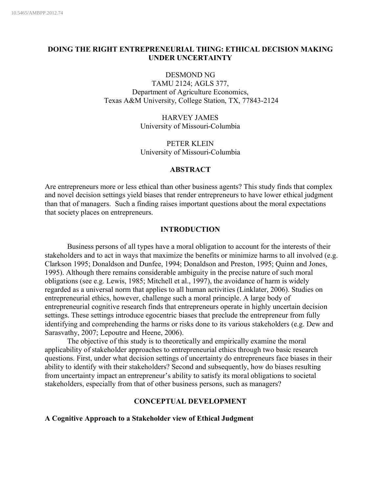# **DOING THE RIGHT ENTREPRENEURIAL THING: ETHICAL DECISION MAKING UNDER UNCERTAINTY**

DESMOND NG

TAMU 2124; AGLS 377, Department of Agriculture Economics, Texas A&M University, College Station, TX, 77843-2124

> HARVEY JAMES University of Missouri-Columbia

> PETER KLEIN University of Missouri-Columbia

# **ABSTRACT**

Are entrepreneurs more or less ethical than other business agents? This study finds that complex and novel decision settings yield biases that render entrepreneurs to have lower ethical judgment than that of managers. Such a finding raises important questions about the moral expectations that society places on entrepreneurs.

## **INTRODUCTION**

Business persons of all types have a moral obligation to account for the interests of their stakeholders and to act in ways that maximize the benefits or minimize harms to all involved (e.g. Clarkson 1995; Donaldson and Dunfee, 1994; Donaldson and Preston, 1995; Quinn and Jones, 1995). Although there remains considerable ambiguity in the precise nature of such moral obligations (see e.g. Lewis, 1985; Mitchell et al., 1997), the avoidance of harm is widely regarded as a universal norm that applies to all human activities (Linklater, 2006). Studies on entrepreneurial ethics, however, challenge such a moral principle. A large body of entrepreneurial cognitive research finds that entrepreneurs operate in highly uncertain decision settings. These settings introduce egocentric biases that preclude the entrepreneur from fully identifying and comprehending the harms or risks done to its various stakeholders (e.g. Dew and Sarasvathy, 2007; Lepoutre and Heene, 2006).

The objective of this study is to theoretically and empirically examine the moral applicability of stakeholder approaches to entrepreneurial ethics through two basic research questions. First, under what decision settings of uncertainty do entrepreneurs face biases in their ability to identify with their stakeholders? Second and subsequently, how do biases resulting from uncertainty impact an entrepreneur's ability to satisfy its moral obligations to societal stakeholders, especially from that of other business persons, such as managers?

## **CONCEPTUAL DEVELOPMENT**

**A Cognitive Approach to a Stakeholder view of Ethical Judgment**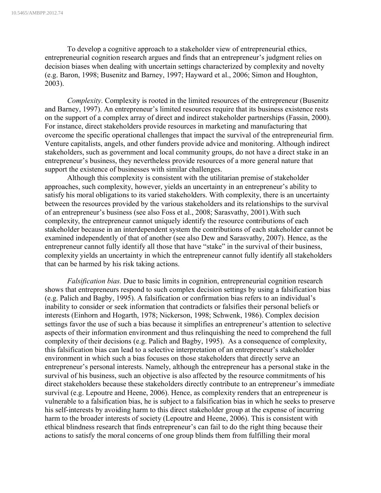To develop a cognitive approach to a stakeholder view of entrepreneurial ethics, entrepreneurial cognition research argues and finds that an entrepreneur's judgment relies on decision biases when dealing with uncertain settings characterized by complexity and novelty (e.g. Baron, 1998; Busenitz and Barney, 1997; Hayward et al., 2006; Simon and Houghton, 2003).

*Complexity*. Complexity is rooted in the limited resources of the entrepreneur (Busenitz and Barney, 1997). An entrepreneur's limited resources require that its business existence rests on the support of a complex array of direct and indirect stakeholder partnerships (Fassin, 2000). For instance, direct stakeholders provide resources in marketing and manufacturing that overcome the specific operational challenges that impact the survival of the entrepreneurial firm. Venture capitalists, angels, and other funders provide advice and monitoring. Although indirect stakeholders, such as government and local community groups, do not have a direct stake in an entrepreneur's business, they nevertheless provide resources of a more general nature that support the existence of businesses with similar challenges.

Although this complexity is consistent with the utilitarian premise of stakeholder approaches, such complexity, however, yields an uncertainty in an entrepreneur's ability to satisfy his moral obligations to its varied stakeholders. With complexity, there is an uncertainty between the resources provided by the various stakeholders and its relationships to the survival of an entrepreneur's business (see also Foss et al., 2008; Sarasvathy, 2001).With such complexity, the entrepreneur cannot uniquely identify the resource contributions of each stakeholder because in an interdependent system the contributions of each stakeholder cannot be examined independently of that of another (see also Dew and Sarasvathy, 2007). Hence, as the entrepreneur cannot fully identify all those that have "stake" in the survival of their business, complexity yields an uncertainty in which the entrepreneur cannot fully identify all stakeholders that can be harmed by his risk taking actions.

*Falsification bias.* Due to basic limits in cognition, entrepreneurial cognition research shows that entrepreneurs respond to such complex decision settings by using a falsification bias (e.g. Palich and Bagby, 1995). A falsification or confirmation bias refers to an individual's inability to consider or seek information that contradicts or falsifies their personal beliefs or interests (Einhorn and Hogarth, 1978; Nickerson, 1998; Schwenk, 1986). Complex decision settings favor the use of such a bias because it simplifies an entrepreneur's attention to selective aspects of their information environment and thus relinquishing the need to comprehend the full complexity of their decisions (e.g. Palich and Bagby, 1995). As a consequence of complexity, this falsification bias can lead to a selective interpretation of an entrepreneur's stakeholder environment in which such a bias focuses on those stakeholders that directly serve an entrepreneur's personal interests. Namely, although the entrepreneur has a personal stake in the survival of his business, such an objective is also affected by the resource commitments of his direct stakeholders because these stakeholders directly contribute to an entrepreneur's immediate survival (e.g. Lepoutre and Heene, 2006). Hence, as complexity renders that an entrepreneur is vulnerable to a falsification bias, he is subject to a falsification bias in which he seeks to preserve his self-interests by avoiding harm to this direct stakeholder group at the expense of incurring harm to the broader interests of society (Lepoutre and Heene, 2006). This is consistent with ethical blindness research that finds entrepreneur's can fail to do the right thing because their actions to satisfy the moral concerns of one group blinds them from fulfilling their moral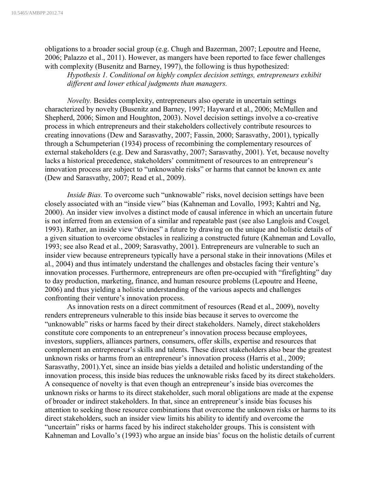obligations to a broader social group (e.g. Chugh and Bazerman, 2007; Lepoutre and Heene, 2006; Palazzo et al., 2011). However, as mangers have been reported to face fewer challenges with complexity (Busenitz and Barney, 1997), the following is thus hypothesized:

*Hypothesis 1. Conditional on highly complex decision settings, entrepreneurs exhibit different and lower ethical judgments than managers.*

*Novelty.* Besides complexity, entrepreneurs also operate in uncertain settings characterized by novelty (Busenitz and Barney, 1997; Hayward et al., 2006; McMullen and Shepherd, 2006; Simon and Houghton, 2003). Novel decision settings involve a co-creative process in which entrepreneurs and their stakeholders collectively contribute resources to creating innovations (Dew and Sarasvathy, 2007; Fassin, 2000; Sarasvathy, 2001), typically through a Schumpeterian (1934) process of recombining the complementary resources of external stakeholders (e.g. Dew and Sarasvathy, 2007; Sarasvathy, 2001). Yet, because novelty lacks a historical precedence, stakeholders' commitment of resources to an entrepreneur's innovation process are subject to "unknowable risks" or harms that cannot be known ex ante (Dew and Sarasvathy, 2007; Read et al., 2009).

*Inside Bias.* To overcome such "unknowable" risks, novel decision settings have been closely associated with an "inside view" bias (Kahneman and Lovallo, 1993; Kahtri and Ng, 2000). An insider view involves a distinct mode of causal inference in which an uncertain future is not inferred from an extension of a similar and repeatable past (see also Langlois and Cosgel*,*  1993). Rather, an inside view "divines" a future by drawing on the unique and holistic details of a given situation to overcome obstacles in realizing a constructed future (Kahneman and Lovallo, 1993; see also Read et al., 2009; Sarasvathy, 2001). Entrepreneurs are vulnerable to such an insider view because entrepreneurs typically have a personal stake in their innovations (Miles et al., 2004) and thus intimately understand the challenges and obstacles facing their venture's innovation processes. Furthermore, entrepreneurs are often pre-occupied with "firefighting" day to day production, marketing, finance, and human resource problems (Lepoutre and Heene, 2006) and thus yielding a holistic understanding of the various aspects and challenges confronting their venture's innovation process.

As innovation rests on a direct commitment of resources (Read et al., 2009), novelty renders entrepreneurs vulnerable to this inside bias because it serves to overcome the "unknowable" risks or harms faced by their direct stakeholders. Namely, direct stakeholders constitute core components to an entrepreneur's innovation process because employees, investors, suppliers, alliances partners, consumers, offer skills, expertise and resources that complement an entrepreneur's skills and talents. These direct stakeholders also bear the greatest unknown risks or harms from an entrepreneur's innovation process (Harris et al., 2009; Sarasvathy, 2001).Yet, since an inside bias yields a detailed and holistic understanding of the innovation process, this inside bias reduces the unknowable risks faced by its direct stakeholders. A consequence of novelty is that even though an entrepreneur's inside bias overcomes the unknown risks or harms to its direct stakeholder, such moral obligations are made at the expense of broader or indirect stakeholders. In that, since an entrepreneur's inside bias focuses his attention to seeking those resource combinations that overcome the unknown risks or harms to its direct stakeholders, such an insider view limits his ability to identify and overcome the "uncertain" risks or harms faced by his indirect stakeholder groups. This is consistent with Kahneman and Lovallo's (1993) who argue an inside bias' focus on the holistic details of current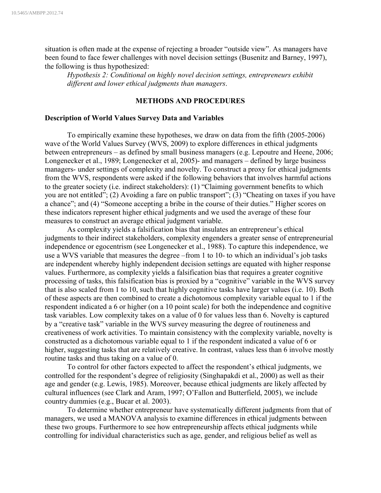situation is often made at the expense of rejecting a broader "outside view". As managers have been found to face fewer challenges with novel decision settings (Busenitz and Barney, 1997), the following is thus hypothesized:

*Hypothesis 2: Conditional on highly novel decision settings, entrepreneurs exhibit different and lower ethical judgments than managers*.

# **METHODS AND PROCEDURES**

#### **Description of World Values Survey Data and Variables**

To empirically examine these hypotheses, we draw on data from the fifth (2005-2006) wave of the World Values Survey (WVS, 2009) to explore differences in ethical judgments between entrepreneurs – as defined by small business managers (e.g. Lepoutre and Heene, 2006; Longenecker et al., 1989; Longenecker et al, 2005)- and managers – defined by large business managers- under settings of complexity and novelty. To construct a proxy for ethical judgments from the WVS, respondents were asked if the following behaviors that involves harmful actions to the greater society (i.e. indirect stakeholders): (1) "Claiming government benefits to which you are not entitled"; (2) Avoiding a fare on public transport"; (3) "Cheating on taxes if you have a chance"; and (4) "Someone accepting a bribe in the course of their duties." Higher scores on these indicators represent higher ethical judgments and we used the average of these four measures to construct an average ethical judgment variable.

As complexity yields a falsification bias that insulates an entrepreneur's ethical judgments to their indirect stakeholders, complexity engenders a greater sense of entrepreneurial independence or egocentrism (see Longenecker et al., 1988). To capture this independence, we use a WVS variable that measures the degree –from 1 to 10- to which an individual's job tasks are independent whereby highly independent decision settings are equated with higher response values. Furthermore, as complexity yields a falsification bias that requires a greater cognitive processing of tasks, this falsification bias is proxied by a "cognitive" variable in the WVS survey that is also scaled from 1 to 10, such that highly cognitive tasks have larger values (i.e. 10). Both of these aspects are then combined to create a dichotomous complexity variable equal to 1 if the respondent indicated a 6 or higher (on a 10 point scale) for both the independence and cognitive task variables. Low complexity takes on a value of 0 for values less than 6. Novelty is captured by a "creative task" variable in the WVS survey measuring the degree of routineness and creativeness of work activities. To maintain consistency with the complexity variable, novelty is constructed as a dichotomous variable equal to 1 if the respondent indicated a value of 6 or higher, suggesting tasks that are relatively creative. In contrast, values less than 6 involve mostly routine tasks and thus taking on a value of 0.

To control for other factors expected to affect the respondent's ethical judgments, we controlled for the respondent's degree of religiosity (Singhapakdi et al., 2000) as well as their age and gender (e.g. Lewis, 1985). Moreover, because ethical judgments are likely affected by cultural influences (see Clark and Aram, 1997; O'Fallon and Butterfield, 2005), we include country dummies (e.g., Bucar et al. 2003).

To determine whether entrepreneur have systematically different judgments from that of managers, we used a MANOVA analysis to examine differences in ethical judgments between these two groups. Furthermore to see how entrepreneurship affects ethical judgments while controlling for individual characteristics such as age, gender, and religious belief as well as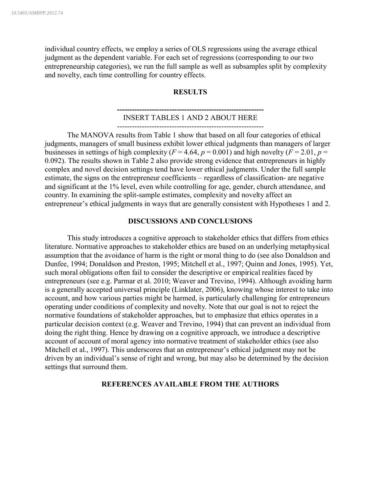individual country effects, we employ a series of OLS regressions using the average ethical judgment as the dependent variable. For each set of regressions (corresponding to our two entrepreneurship categories), we run the full sample as well as subsamples split by complexity and novelty, each time controlling for country effects.

## **RESULTS**

## **-----------------------------------------------------------** INSERT TABLES 1 AND 2 ABOUT HERE

-----------------------------------------------------------

The MANOVA results from Table 1 show that based on all four categories of ethical judgments, managers of small business exhibit lower ethical judgments than managers of larger businesses in settings of high complexity ( $F = 4.64$ ,  $p = 0.001$ ) and high novelty ( $F = 2.01$ ,  $p =$ 0.092). The results shown in Table 2 also provide strong evidence that entrepreneurs in highly complex and novel decision settings tend have lower ethical judgments. Under the full sample estimate, the signs on the entrepreneur coefficients – regardless of classification- are negative and significant at the 1% level, even while controlling for age, gender, church attendance, and country. In examining the split-sample estimates, complexity and novelty affect an entrepreneur's ethical judgments in ways that are generally consistent with Hypotheses 1 and 2.

### **DISCUSSIONS AND CONCLUSIONS**

This study introduces a cognitive approach to stakeholder ethics that differs from ethics literature. Normative approaches to stakeholder ethics are based on an underlying metaphysical assumption that the avoidance of harm is the right or moral thing to do (see also Donaldson and Dunfee, 1994; Donaldson and Preston, 1995; Mitchell et al., 1997; Quinn and Jones, 1995). Yet, such moral obligations often fail to consider the descriptive or empirical realities faced by entrepreneurs (see e.g. Parmar et al. 2010; Weaver and Trevino, 1994). Although avoiding harm is a generally accepted universal principle (Linklater, 2006), knowing whose interest to take into account, and how various parties might be harmed, is particularly challenging for entrepreneurs operating under conditions of complexity and novelty. Note that our goal is not to reject the normative foundations of stakeholder approaches, but to emphasize that ethics operates in a particular decision context (e.g. Weaver and Trevino, 1994) that can prevent an individual from doing the right thing. Hence by drawing on a cognitive approach, we introduce a descriptive account of account of moral agency into normative treatment of stakeholder ethics (see also Mitchell et al., 1997). This underscores that an entrepreneur's ethical judgment may not be driven by an individual's sense of right and wrong, but may also be determined by the decision settings that surround them.

### **REFERENCES AVAILABLE FROM THE AUTHORS**